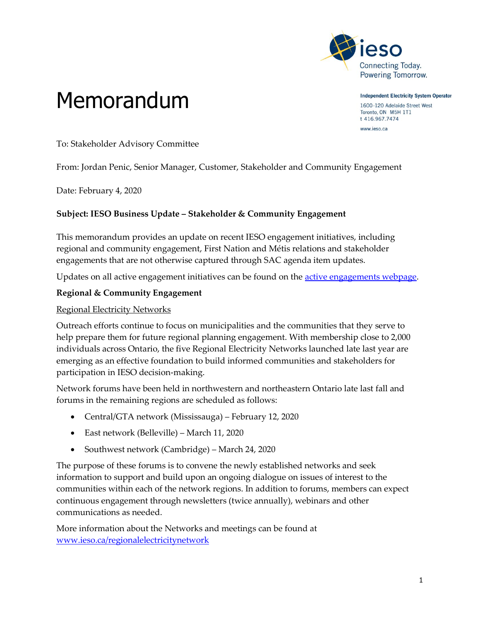

Memorandum

**Independent Electricity System Operator** 1600-120 Adelaide Street West Toronto, ON M5H 1T1

t 416.967.7474 www.ieso.ca

To: Stakeholder Advisory Committee

From: Jordan Penic, Senior Manager, Customer, Stakeholder and Community Engagement

Date: February 4, 2020

#### **Subject: IESO Business Update – Stakeholder & Community Engagement**

This memorandum provides an update on recent IESO engagement initiatives, including regional and community engagement, First Nation and Métis relations and stakeholder engagements that are not otherwise captured through SAC agenda item updates.

Updates on all active engagement initiatives can be found on the [active engagements webpage.](http://www.ieso.ca/en/sector-participants/engagement-initiatives/engagements/engagements-status)

#### **Regional & Community Engagement**

#### Regional Electricity Networks

Outreach efforts continue to focus on municipalities and the communities that they serve to help prepare them for future regional planning engagement. With membership close to 2,000 individuals across Ontario, the five Regional Electricity Networks launched late last year are emerging as an effective foundation to build informed communities and stakeholders for participation in IESO decision-making.

Network forums have been held in northwestern and northeastern Ontario late last fall and forums in the remaining regions are scheduled as follows:

- Central/GTA network (Mississauga) February 12, 2020
- East network (Belleville) March 11, 2020
- Southwest network (Cambridge) March 24, 2020

The purpose of these forums is to convene the newly established networks and seek information to support and build upon an ongoing dialogue on issues of interest to the communities within each of the network regions. In addition to forums, members can expect continuous engagement through newsletters (twice annually), webinars and other communications as needed.

More information about the Networks and meetings can be found at [www.ieso.ca/regionalelectricitynetwork](http://www.ieso.ca/regionalelectricitynetwork)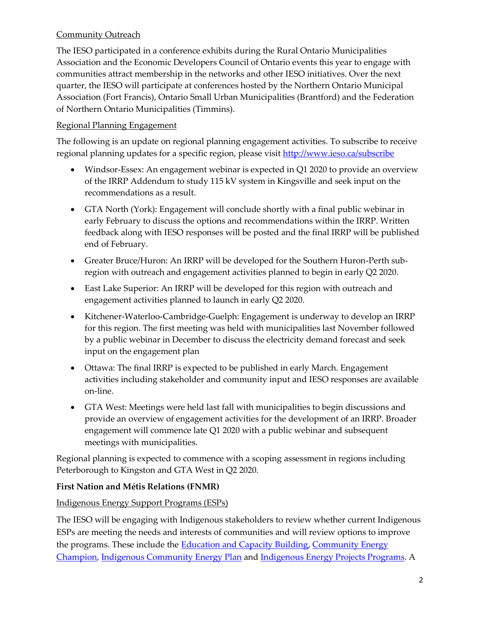# Community Outreach

The IESO participated in a conference exhibits during the Rural Ontario Municipalities Association and the Economic Developers Council of Ontario events this year to engage with communities attract membership in the networks and other IESO initiatives. Over the next quarter, the IESO will participate at conferences hosted by the Northern Ontario Municipal Association (Fort Francis), Ontario Small Urban Municipalities (Brantford) and the Federation of Northern Ontario Municipalities (Timmins).

## Regional Planning Engagement

The following is an update on regional planning engagement activities. To subscribe to receive regional planning updates for a specific region, please visit<http://www.ieso.ca/subscribe>

- Windsor-Essex: An engagement webinar is expected in Q1 2020 to provide an overview of the IRRP Addendum to study 115 kV system in Kingsville and seek input on the recommendations as a result.
- GTA North (York): Engagement will conclude shortly with a final public webinar in early February to discuss the options and recommendations within the IRRP. Written feedback along with IESO responses will be posted and the final IRRP will be published end of February.
- Greater Bruce/Huron: An IRRP will be developed for the Southern Huron-Perth subregion with outreach and engagement activities planned to begin in early Q2 2020.
- East Lake Superior: An IRRP will be developed for this region with outreach and engagement activities planned to launch in early Q2 2020.
- Kitchener-Waterloo-Cambridge-Guelph: Engagement is underway to develop an IRRP for this region. The first meeting was held with municipalities last November followed by a public webinar in December to discuss the electricity demand forecast and seek input on the engagement plan
- Ottawa: The final IRRP is expected to be published in early March. Engagement activities including stakeholder and community input and IESO responses are available on-line.
- GTA West: Meetings were held last fall with municipalities to begin discussions and provide an overview of engagement activities for the development of an IRRP. Broader engagement will commence late Q1 2020 with a public webinar and subsequent meetings with municipalities.

Regional planning is expected to commence with a scoping assessment in regions including Peterborough to Kingston and GTA West in Q2 2020.

# **First Nation and Métis Relations (FNMR)**

### Indigenous Energy Support Programs (ESPs)

The IESO will be engaging with Indigenous stakeholders to review whether current Indigenous ESPs are meeting the needs and interests of communities and will review options to improve the programs. These include the **Education and Capacity Building, Community Energy** [Champion,](http://www.ieso.ca/Get-Involved/Funding-Programs/Community-Energy-Champion-Program) [Indigenous Community Energy Plan](http://www.ieso.ca/Get-Involved/Funding-Programs/Indigenous-Community-Energy-Plan-Program) and [Indigenous Energy Projects](http://www.ieso.ca/Get-Involved/Funding-Programs/Indigenous-Energy-Projects-Program) Programs. A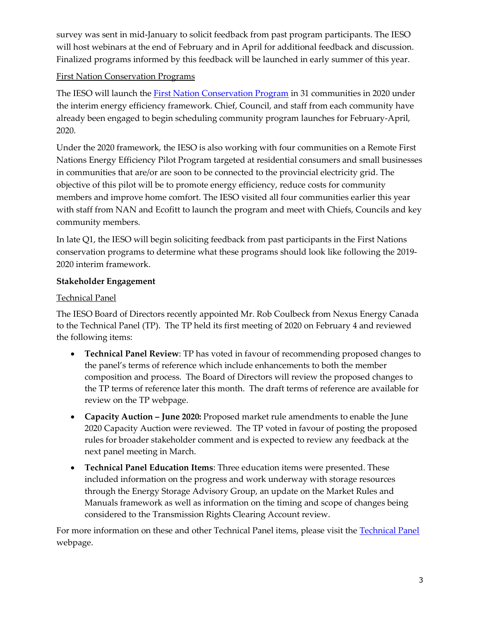survey was sent in mid-January to solicit feedback from past program participants. The IESO will host webinars at the end of February and in April for additional feedback and discussion. Finalized programs informed by this feedback will be launched in early summer of this year.

## First Nation Conservation Programs

The IESO will launch the [First Nation Conservation Program](https://saveonenergy.ca/For-Your-Home/First-Nations-Conservation-Program) in 31 communities in 2020 under the interim energy efficiency framework. Chief, Council, and staff from each community have already been engaged to begin scheduling community program launches for February-April, 2020.

Under the 2020 framework, the IESO is also working with four communities on a Remote First Nations Energy Efficiency Pilot Program targeted at residential consumers and small businesses in communities that are/or are soon to be connected to the provincial electricity grid. The objective of this pilot will be to promote energy efficiency, reduce costs for community members and improve home comfort. The IESO visited all four communities earlier this year with staff from NAN and Ecofitt to launch the program and meet with Chiefs, Councils and key community members.

In late Q1, the IESO will begin soliciting feedback from past participants in the First Nations conservation programs to determine what these programs should look like following the 2019- 2020 interim framework.

## **Stakeholder Engagement**

## Technical Panel

The IESO Board of Directors recently appointed Mr. Rob Coulbeck from Nexus Energy Canada to the Technical Panel (TP). The TP held its first meeting of 2020 on February 4 and reviewed the following items:

- **Technical Panel Review**: TP has voted in favour of recommending proposed changes to the panel's terms of reference which include enhancements to both the member composition and process. The Board of Directors will review the proposed changes to the TP terms of reference later this month. The draft terms of reference are available for review on the TP webpage.
- **Capacity Auction – June 2020:** Proposed market rule amendments to enable the June 2020 Capacity Auction were reviewed. The TP voted in favour of posting the proposed rules for broader stakeholder comment and is expected to review any feedback at the next panel meeting in March.
- **Technical Panel Education Items**: Three education items were presented. These included information on the progress and work underway with storage resources through the Energy Storage Advisory Group, an update on the Market Rules and Manuals framework as well as information on the timing and scope of changes being considered to the Transmission Rights Clearing Account review.

For more information on these and other [Technical Panel](http://www.ieso.ca/Sector-Participants/Engagement-Initiatives/Technical-Panel/Meetings-and-Materials) items, please visit the Technical Panel webpage.